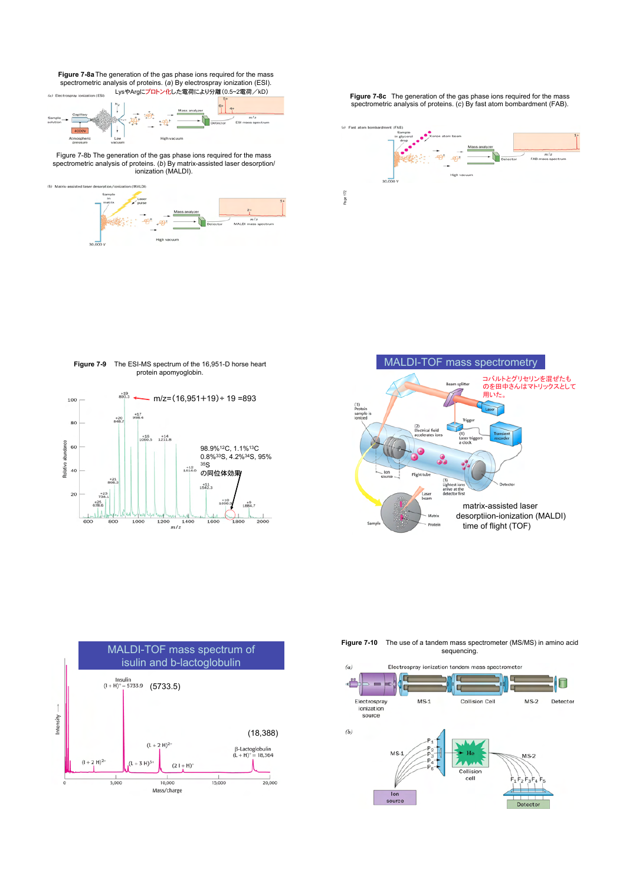**Figure 7-8a**The generation of the gas phase ions required for the mass spectrometric analysis of proteins. (*a*) By electrospray ionization (ESI).



Figure 7-8b The generation of the gas phase ions required for the mass spectrometric analysis of proteins. (*b*) By matrix-assisted laser desorption/ ionization (MALDI).



LysやArgにプロトン化した電荷により分離(0.5~2電荷/kD) **Figure 7-8c** The generation of the gas phase ions required for the mass spectrometric analysis of proteins. (*c*) By fast atom bombardment (FAB).



**Figure 7-9** The ESI-MS spectrum of the 16,951-D horse heart protein apomyoglobin.







**Figure 7-10** The use of a tandem mass spectrometer (MS/MS) in amino acid sequencing.

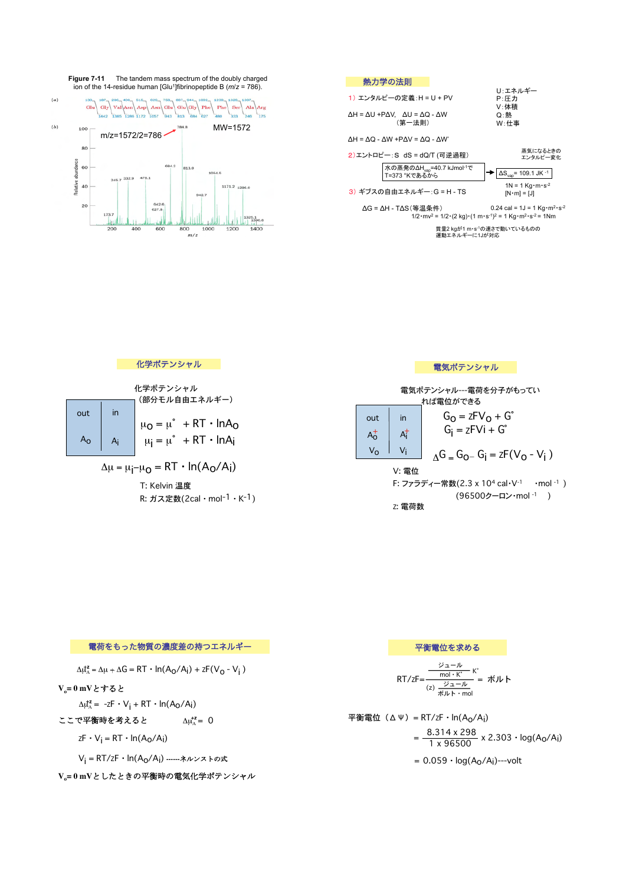



## 化学ポテンシャル

T: Kelvin 温度

R: ガス定数(2cal・mol-1・K-1)

| 化学ポテンシャル<br>(部分モル自由エネルギー)                           |                    |                     |                                                                      | 電気ポテンシャル---電荷を分子がもってい<br>れば雷位ができる  |                           |                                                                       |
|-----------------------------------------------------|--------------------|---------------------|----------------------------------------------------------------------|------------------------------------|---------------------------|-----------------------------------------------------------------------|
|                                                     | out<br>$A_{\rm O}$ | $\mathsf{in}$<br>Ai | $\mu_0 = \mu^* + RT \cdot InA_0$<br>$\mu_i = \mu^* + RT \cdot InA_i$ | out<br>$A_{O}^{+}$<br>$V_{\Omega}$ | in<br>$A^{\dagger}$<br>Vi | $GO = zFVO + Go$<br>$G_i = zFVi + G^2$                                |
| $\Delta \mu = \mu_i - \mu_0 = RT \cdot ln(A_0/A_i)$ |                    |                     |                                                                      |                                    | V: 電位                     | $\Lambda$ G = G <sub>O</sub> - G <sub>i</sub> = zF(V <sub>O</sub> - \ |

 $\Lambda$ G = G<sub>O</sub>- G<sub>i</sub> = zF(V<sub>O</sub> - V<sub>i</sub>) V: 電位 F: ファラディー常数(2.3 x 10<sup>4</sup> cal·V<sup>-1</sup> ·mol<sup>-1</sup>) (96500クーロン・mol -1 )

電気ポテンシャル

Z: 電荷数

## 電荷をもった物質の濃度差の持つエネルギー  $\Delta \mu_A^2 = \Delta \mu + \Delta G = RT \cdot ln(A_O/A_i) + zF(V_O - V_i)$ **Vo= 0 mV**とすると  $\Delta \mu_A^2 = -zF \cdot V_i + RT \cdot ln(A_O/A_i)$ ここで平衡時を考えると  $\Delta \mu_A^{\star z} = 0$  $ZF \cdot V_i = RT \cdot ln(A_0/A_i)$ Vi = RT/ZF・ln(Ao/Ai) **------**ネルンストの式 平衡電位を求める  $RT/zF=$ ジュール (z) ジュール ボルト・mol  $\frac{y_1 - y_2}{\text{mol} \cdot \text{K}^2}$  K° = ボルト 平衡電位(ΔΨ)= RT/zF・ln(A<sub>O</sub>/A<sub>i</sub>)  $=\frac{8.314 \times 298}{1 \times 0.0500}$  $= 0.059 \cdot log(A_0/A_i)$ ---volt

V<sub>s</sub>=0mVとしたときの平衡時の電気化学ポテンシャル

$$
*(\text{}) = R1/z + \ln(A_0/A_1)
$$
\n
$$
= \frac{8.314 \times 298}{1 \times 96500} \times 2.303 \cdot \log(A_0/A_1)
$$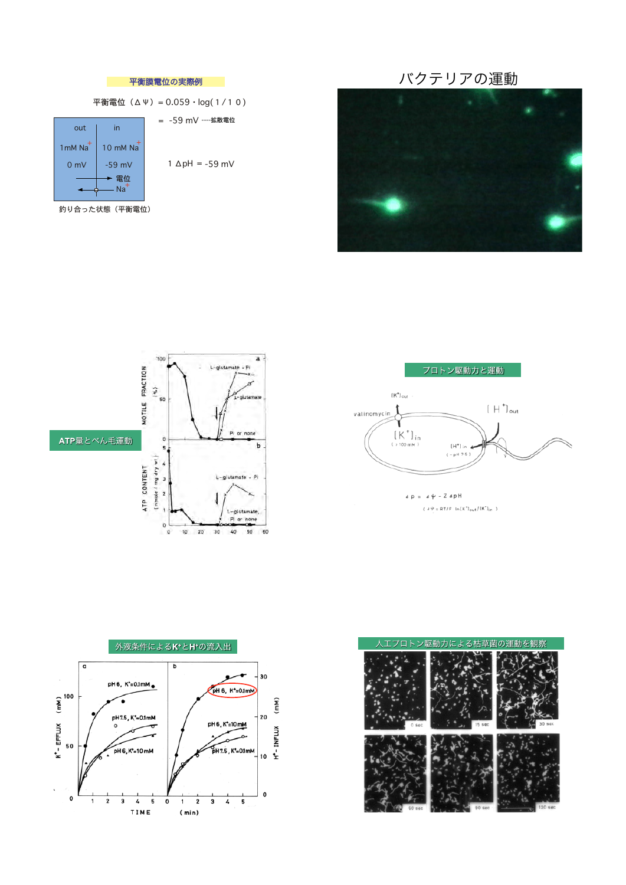







 $dp = 44 - Z4pH$  $\langle \begin{array}{l} \mathit{d}\,\hat{\forall} \end{array} = \mathsf{RT}/\mathsf{F} \ \ln\bigl(\mathsf{K}^*\bigr)_\mathsf{out}/\bigl(\mathsf{K}^*\bigr)_\mathsf{in} \ \ \rangle$